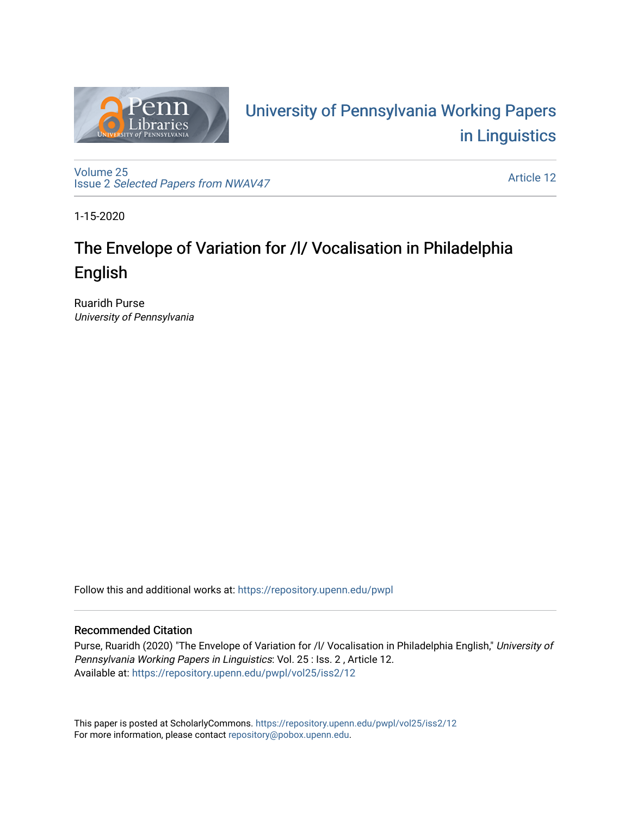

# University of P[ennsylvania Working P](https://repository.upenn.edu/pwpl)apers [in Linguistics](https://repository.upenn.edu/pwpl)

[Volume 25](https://repository.upenn.edu/pwpl/vol25) Issue 2 [Selected Papers from NWAV47](https://repository.upenn.edu/pwpl/vol25/iss2)

[Article 12](https://repository.upenn.edu/pwpl/vol25/iss2/12) 

1-15-2020

# The Envelope of Variation for /l/ Vocalisation in Philadelphia English

Ruaridh Purse University of Pennsylvania

Follow this and additional works at: [https://repository.upenn.edu/pwpl](https://repository.upenn.edu/pwpl?utm_source=repository.upenn.edu%2Fpwpl%2Fvol25%2Fiss2%2F12&utm_medium=PDF&utm_campaign=PDFCoverPages) 

# Recommended Citation

Purse, Ruaridh (2020) "The Envelope of Variation for /l/ Vocalisation in Philadelphia English," University of Pennsylvania Working Papers in Linguistics: Vol. 25 : Iss. 2 , Article 12. Available at: [https://repository.upenn.edu/pwpl/vol25/iss2/12](https://repository.upenn.edu/pwpl/vol25/iss2/12?utm_source=repository.upenn.edu%2Fpwpl%2Fvol25%2Fiss2%2F12&utm_medium=PDF&utm_campaign=PDFCoverPages)

This paper is posted at ScholarlyCommons.<https://repository.upenn.edu/pwpl/vol25/iss2/12> For more information, please contact [repository@pobox.upenn.edu.](mailto:repository@pobox.upenn.edu)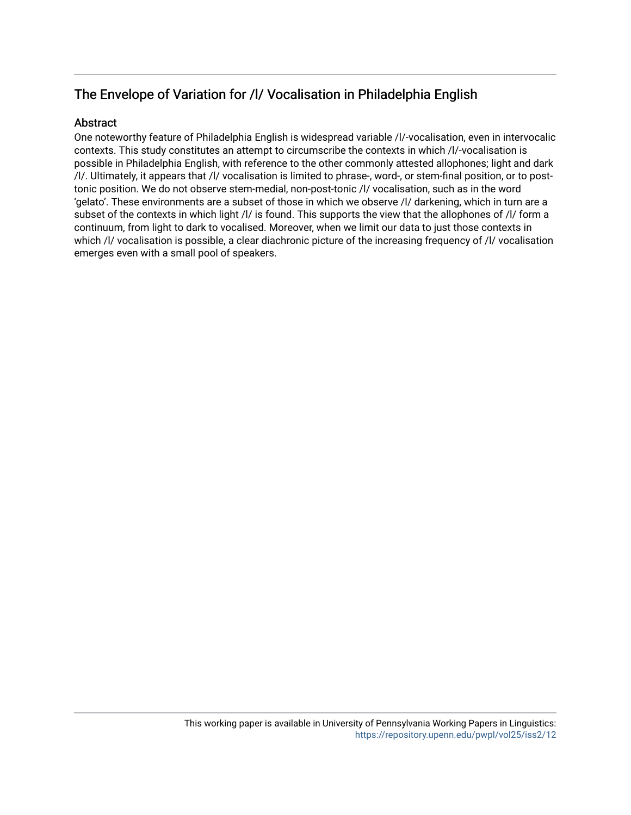# The Envelope of Variation for /l/ Vocalisation in Philadelphia English

# Abstract

One noteworthy feature of Philadelphia English is widespread variable /l/-vocalisation, even in intervocalic contexts. This study constitutes an attempt to circumscribe the contexts in which /l/-vocalisation is possible in Philadelphia English, with reference to the other commonly attested allophones; light and dark /l/. Ultimately, it appears that /l/ vocalisation is limited to phrase-, word-, or stem-final position, or to posttonic position. We do not observe stem-medial, non-post-tonic /l/ vocalisation, such as in the word 'gelato'. These environments are a subset of those in which we observe /l/ darkening, which in turn are a subset of the contexts in which light /l/ is found. This supports the view that the allophones of /l/ form a continuum, from light to dark to vocalised. Moreover, when we limit our data to just those contexts in which /l/ vocalisation is possible, a clear diachronic picture of the increasing frequency of /l/ vocalisation emerges even with a small pool of speakers.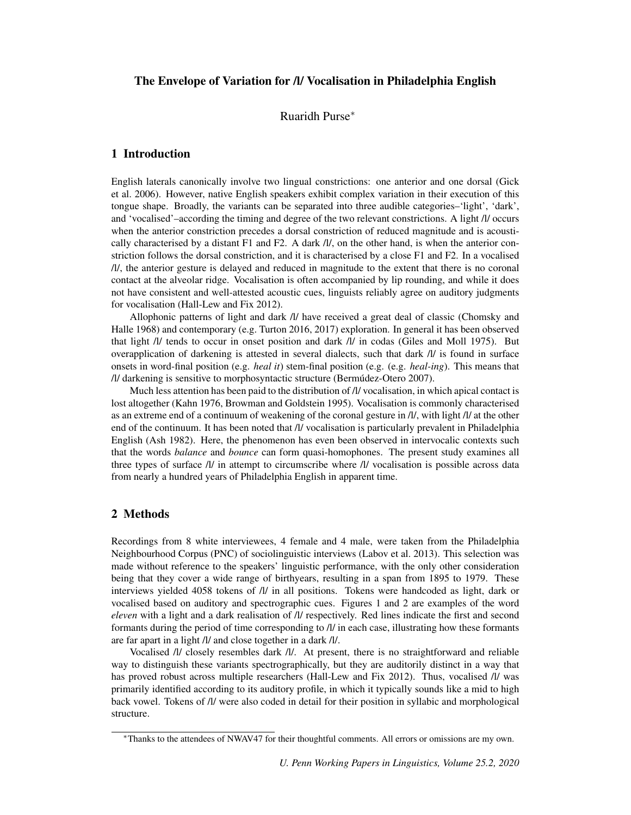#### The Envelope of Variation for /l/ Vocalisation in Philadelphia English

## Ruaridh Purse<sup>∗</sup>

#### 1 Introduction

English laterals canonically involve two lingual constrictions: one anterior and one dorsal (Gick et al. 2006). However, native English speakers exhibit complex variation in their execution of this tongue shape. Broadly, the variants can be separated into three audible categories–'light', 'dark', and 'vocalised'–according the timing and degree of the two relevant constrictions. A light /l/ occurs when the anterior constriction precedes a dorsal constriction of reduced magnitude and is acoustically characterised by a distant F1 and F2. A dark /l/, on the other hand, is when the anterior constriction follows the dorsal constriction, and it is characterised by a close F1 and F2. In a vocalised /l/, the anterior gesture is delayed and reduced in magnitude to the extent that there is no coronal contact at the alveolar ridge. Vocalisation is often accompanied by lip rounding, and while it does not have consistent and well-attested acoustic cues, linguists reliably agree on auditory judgments for vocalisation (Hall-Lew and Fix 2012).

Allophonic patterns of light and dark /l/ have received a great deal of classic (Chomsky and Halle 1968) and contemporary (e.g. Turton 2016, 2017) exploration. In general it has been observed that light /l/ tends to occur in onset position and dark /l/ in codas (Giles and Moll 1975). But overapplication of darkening is attested in several dialects, such that dark /l/ is found in surface onsets in word-final position (e.g. *heal it*) stem-final position (e.g. (e.g. *heal-ing*). This means that /l/ darkening is sensitive to morphosyntactic structure (Bermúdez-Otero 2007).

Much less attention has been paid to the distribution of /l/ vocalisation, in which apical contact is lost altogether (Kahn 1976, Browman and Goldstein 1995). Vocalisation is commonly characterised as an extreme end of a continuum of weakening of the coronal gesture in /l/, with light /l/ at the other end of the continuum. It has been noted that /l/ vocalisation is particularly prevalent in Philadelphia English (Ash 1982). Here, the phenomenon has even been observed in intervocalic contexts such that the words *balance* and *bounce* can form quasi-homophones. The present study examines all three types of surface /l/ in attempt to circumscribe where /l/ vocalisation is possible across data from nearly a hundred years of Philadelphia English in apparent time.

# 2 Methods

Recordings from 8 white interviewees, 4 female and 4 male, were taken from the Philadelphia Neighbourhood Corpus (PNC) of sociolinguistic interviews (Labov et al. 2013). This selection was made without reference to the speakers' linguistic performance, with the only other consideration being that they cover a wide range of birthyears, resulting in a span from 1895 to 1979. These interviews yielded 4058 tokens of /l/ in all positions. Tokens were handcoded as light, dark or vocalised based on auditory and spectrographic cues. Figures 1 and 2 are examples of the word *eleven* with a light and a dark realisation of /l/ respectively. Red lines indicate the first and second formants during the period of time corresponding to /l/ in each case, illustrating how these formants are far apart in a light /l/ and close together in a dark /l/.

Vocalised /l/ closely resembles dark /l/. At present, there is no straightforward and reliable way to distinguish these variants spectrographically, but they are auditorily distinct in a way that has proved robust across multiple researchers (Hall-Lew and Fix 2012). Thus, vocalised /l/ was primarily identified according to its auditory profile, in which it typically sounds like a mid to high back vowel. Tokens of /l/ were also coded in detail for their position in syllabic and morphological structure.

<sup>∗</sup>Thanks to the attendees of NWAV47 for their thoughtful comments. All errors or omissions are my own.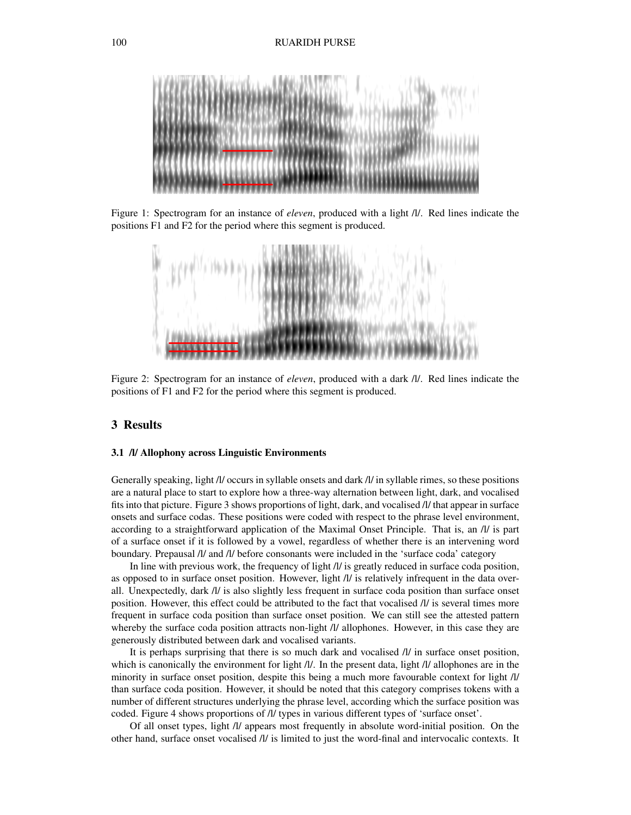

Figure 1: Spectrogram for an instance of *eleven*, produced with a light /l/. Red lines indicate the positions F1 and F2 for the period where this segment is produced.



Figure 2: Spectrogram for an instance of *eleven*, produced with a dark /l/. Red lines indicate the positions of F1 and F2 for the period where this segment is produced.

# 3 Results

#### 3.1 /l/ Allophony across Linguistic Environments

Generally speaking, light /l/ occurs in syllable onsets and dark /l/ in syllable rimes, so these positions are a natural place to start to explore how a three-way alternation between light, dark, and vocalised fits into that picture. Figure 3 shows proportions of light, dark, and vocalised /l/ that appear in surface onsets and surface codas. These positions were coded with respect to the phrase level environment, according to a straightforward application of the Maximal Onset Principle. That is, an /l/ is part of a surface onset if it is followed by a vowel, regardless of whether there is an intervening word boundary. Prepausal /l/ and /l/ before consonants were included in the 'surface coda' category

In line with previous work, the frequency of light /l/ is greatly reduced in surface coda position, as opposed to in surface onset position. However, light /l/ is relatively infrequent in the data overall. Unexpectedly, dark /l/ is also slightly less frequent in surface coda position than surface onset position. However, this effect could be attributed to the fact that vocalised /l/ is several times more frequent in surface coda position than surface onset position. We can still see the attested pattern whereby the surface coda position attracts non-light /l/ allophones. However, in this case they are generously distributed between dark and vocalised variants.

It is perhaps surprising that there is so much dark and vocalised /l/ in surface onset position, which is canonically the environment for light /l/. In the present data, light /l/ allophones are in the minority in surface onset position, despite this being a much more favourable context for light /l/ than surface coda position. However, it should be noted that this category comprises tokens with a number of different structures underlying the phrase level, according which the surface position was coded. Figure 4 shows proportions of /l/ types in various different types of 'surface onset'.

Of all onset types, light /l/ appears most frequently in absolute word-initial position. On the other hand, surface onset vocalised /l/ is limited to just the word-final and intervocalic contexts. It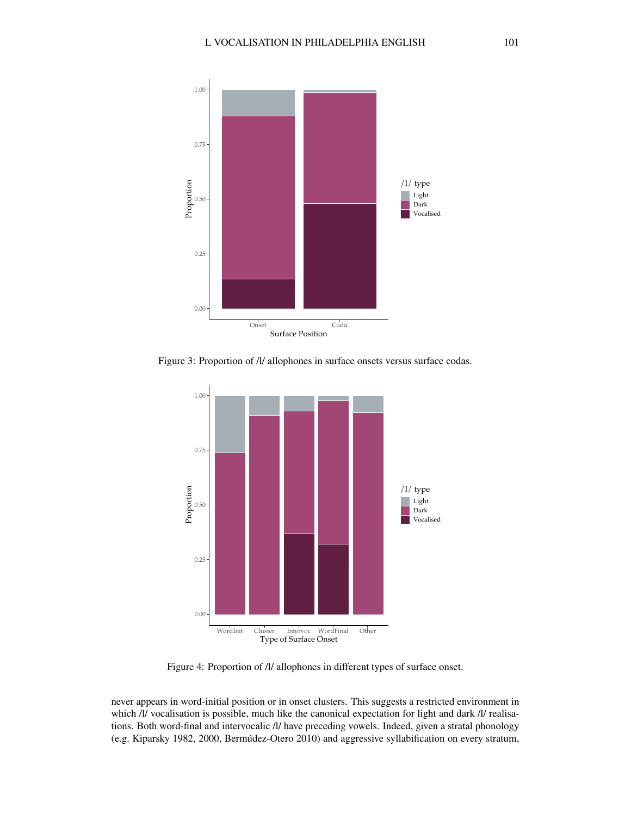

Figure 3: Proportion of  $\Lambda$  allophones in surface onsets versus surface codas.



Figure 4: Proportion of  $\Lambda$ / allophones in different types of surface onset.

never appears in word-initial position or in onset clusters. This suggests a restricted environment in which /l/ vocalisation is possible, much like the canonical expectation for light and dark /l/ realisations. Both word-final and intervocalic /l/ have preceding vowels. Indeed, given a stratal phonology (e.g. Kiparsky 1982, 2000, Bermudez-Otero 2010) and aggressive syllabification on every stratum, ´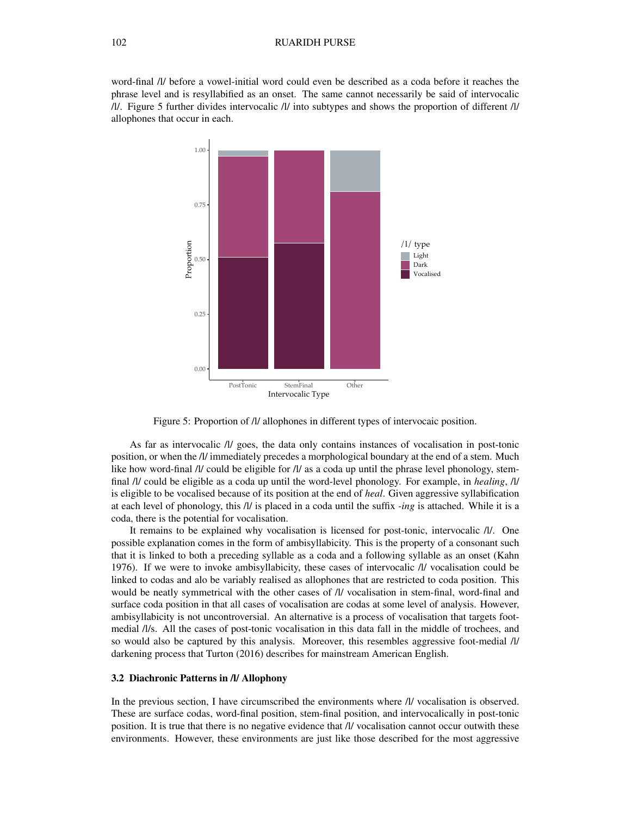#### 102 RUARIDH PURSE

word-final /l/ before a vowel-initial word could even be described as a coda before it reaches the phrase level and is resyllabified as an onset. The same cannot necessarily be said of intervocalic /l/. Figure 5 further divides intervocalic /l/ into subtypes and shows the proportion of different /l/ allophones that occur in each.



Figure 5: Proportion of /l/ allophones in different types of intervocaic position.

As far as intervocalic /l/ goes, the data only contains instances of vocalisation in post-tonic position, or when the /l/ immediately precedes a morphological boundary at the end of a stem. Much like how word-final /l/ could be eligible for /l/ as a coda up until the phrase level phonology, stemfinal /l/ could be eligible as a coda up until the word-level phonology. For example, in *healing*, /l/ is eligible to be vocalised because of its position at the end of *heal*. Given aggressive syllabification at each level of phonology, this /l/ is placed in a coda until the suffix *-ing* is attached. While it is a coda, there is the potential for vocalisation.

It remains to be explained why vocalisation is licensed for post-tonic, intervocalic /l/. One possible explanation comes in the form of ambisyllabicity. This is the property of a consonant such that it is linked to both a preceding syllable as a coda and a following syllable as an onset (Kahn 1976). If we were to invoke ambisyllabicity, these cases of intervocalic /l/ vocalisation could be linked to codas and alo be variably realised as allophones that are restricted to coda position. This would be neatly symmetrical with the other cases of /l/ vocalisation in stem-final, word-final and surface coda position in that all cases of vocalisation are codas at some level of analysis. However, ambisyllabicity is not uncontroversial. An alternative is a process of vocalisation that targets footmedial /l/s. All the cases of post-tonic vocalisation in this data fall in the middle of trochees, and so would also be captured by this analysis. Moreover, this resembles aggressive foot-medial /l/ darkening process that Turton (2016) describes for mainstream American English.

#### 3.2 Diachronic Patterns in /l/ Allophony

In the previous section, I have circumscribed the environments where /l/ vocalisation is observed. These are surface codas, word-final position, stem-final position, and intervocalically in post-tonic position. It is true that there is no negative evidence that /l/ vocalisation cannot occur outwith these environments. However, these environments are just like those described for the most aggressive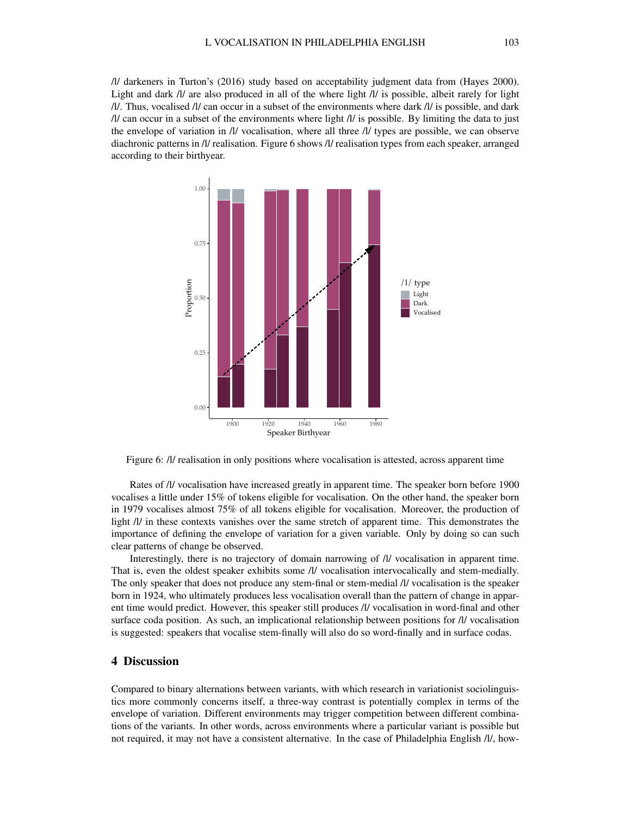/l/ darkeners in Turton's (2016) study based on acceptability judgment data from (Hayes 2000). Light and dark /l/ are also produced in all of the where light /l/ is possible, albeit rarely for light /l/. Thus, vocalised /l/ can occur in a subset of the environments where dark /l/ is possible, and dark  $\frac{1}{l}$  can occur in a subset of the environments where light  $\frac{1}{l}$  is possible. By limiting the data to just the envelope of variation in /l/ vocalisation, where all three /l/ types are possible, we can observe diachronic patterns in /l/ realisation. Figure 6 shows /l/ realisation types from each speaker, arranged according to their birthyear.



Figure 6: /l/ realisation in only positions where vocalisation is attested, across apparent time

Rates of /l/ vocalisation have increased greatly in apparent time. The speaker born before 1900 vocalises a little under 15% of tokens eligible for vocalisation. On the other hand, the speaker born in 1979 vocalises almost 75% of all tokens eligible for vocalisation. Moreover, the production of light /l/ in these contexts vanishes over the same stretch of apparent time. This demonstrates the importance of defining the envelope of variation for a given variable. Only by doing so can such clear patterns of change be observed.

Interestingly, there is no trajectory of domain narrowing of /l/ vocalisation in apparent time. That is, even the oldest speaker exhibits some /l/ vocalisation intervocalically and stem-medially. The only speaker that does not produce any stem-final or stem-medial /l/ vocalisation is the speaker born in 1924, who ultimately produces less vocalisation overall than the pattern of change in apparent time would predict. However, this speaker still produces /l/ vocalisation in word-final and other surface coda position. As such, an implicational relationship between positions for /l/ vocalisation is suggested: speakers that vocalise stem-finally will also do so word-finally and in surface codas.

## 4 Discussion

Compared to binary alternations between variants, with which research in variationist sociolinguistics more commonly concerns itself, a three-way contrast is potentially complex in terms of the envelope of variation. Different environments may trigger competition between different combinations of the variants. In other words, across environments where a particular variant is possible but not required, it may not have a consistent alternative. In the case of Philadelphia English /l/, how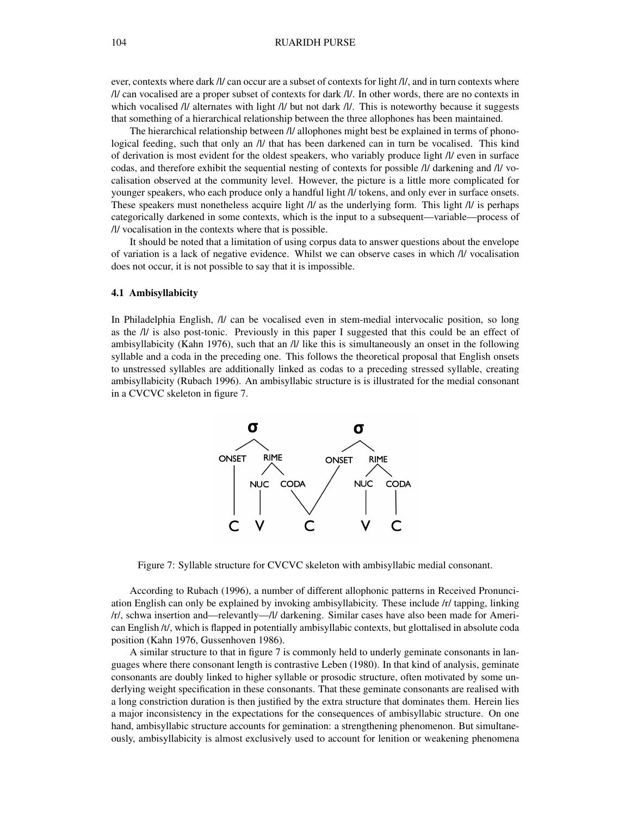ever, contexts where dark /l/ can occur are a subset of contexts for light /l/, and in turn contexts where /l/ can vocalised are a proper subset of contexts for dark /l/. In other words, there are no contexts in which vocalised /l/ alternates with light /l/ but not dark /l/. This is noteworthy because it suggests that something of a hierarchical relationship between the three allophones has been maintained.

The hierarchical relationship between /l/ allophones might best be explained in terms of phonological feeding, such that only an /l/ that has been darkened can in turn be vocalised. This kind of derivation is most evident for the oldest speakers, who variably produce light /l/ even in surface codas, and therefore exhibit the sequential nesting of contexts for possible /l/ darkening and /l/ vocalisation observed at the community level. However, the picture is a little more complicated for younger speakers, who each produce only a handful light /l/ tokens, and only ever in surface onsets. These speakers must nonetheless acquire light /l/ as the underlying form. This light /l/ is perhaps categorically darkened in some contexts, which is the input to a subsequent—variable—process of /l/ vocalisation in the contexts where that is possible.

It should be noted that a limitation of using corpus data to answer questions about the envelope of variation is a lack of negative evidence. Whilst we can observe cases in which /l/ vocalisation does not occur, it is not possible to say that it is impossible.

#### 4.1 Ambisyllabicity

In Philadelphia English, /l/ can be vocalised even in stem-medial intervocalic position, so long as the /l/ is also post-tonic. Previously in this paper I suggested that this could be an effect of ambisyllabicity (Kahn 1976), such that an /l/ like this is simultaneously an onset in the following syllable and a coda in the preceding one. This follows the theoretical proposal that English onsets to unstressed syllables are additionally linked as codas to a preceding stressed syllable, creating ambisyllabicity (Rubach 1996). An ambisyllabic structure is is illustrated for the medial consonant in a CVCVC skeleton in figure 7.



Figure 7: Syllable structure for CVCVC skeleton with ambisyllabic medial consonant.

According to Rubach (1996), a number of different allophonic patterns in Received Pronunciation English can only be explained by invoking ambisyllabicity. These include /r/ tapping, linking /r/, schwa insertion and—relevantly—/l/ darkening. Similar cases have also been made for American English /t/, which is flapped in potentially ambisyllabic contexts, but glottalised in absolute coda position (Kahn 1976, Gussenhoven 1986).

A similar structure to that in figure 7 is commonly held to underly geminate consonants in languages where there consonant length is contrastive Leben (1980). In that kind of analysis, geminate consonants are doubly linked to higher syllable or prosodic structure, often motivated by some underlying weight specification in these consonants. That these geminate consonants are realised with a long constriction duration is then justified by the extra structure that dominates them. Herein lies a major inconsistency in the expectations for the consequences of ambisyllabic structure. On one hand, ambisyllabic structure accounts for gemination: a strengthening phenomenon. But simultaneously, ambisyllabicity is almost exclusively used to account for lenition or weakening phenomena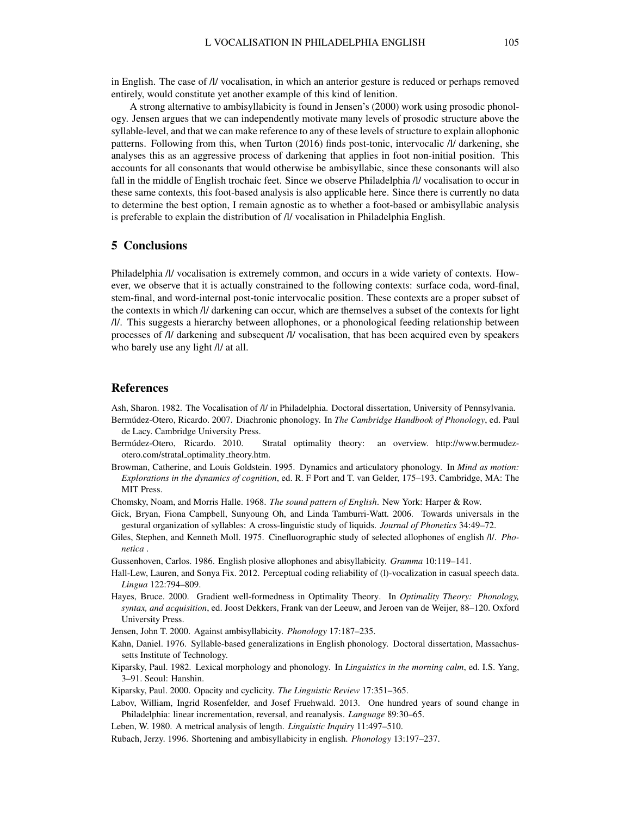in English. The case of /l/ vocalisation, in which an anterior gesture is reduced or perhaps removed entirely, would constitute yet another example of this kind of lenition.

A strong alternative to ambisyllabicity is found in Jensen's (2000) work using prosodic phonology. Jensen argues that we can independently motivate many levels of prosodic structure above the syllable-level, and that we can make reference to any of these levels of structure to explain allophonic patterns. Following from this, when Turton (2016) finds post-tonic, intervocalic /l/ darkening, she analyses this as an aggressive process of darkening that applies in foot non-initial position. This accounts for all consonants that would otherwise be ambisyllabic, since these consonants will also fall in the middle of English trochaic feet. Since we observe Philadelphia /l/ vocalisation to occur in these same contexts, this foot-based analysis is also applicable here. Since there is currently no data to determine the best option, I remain agnostic as to whether a foot-based or ambisyllabic analysis is preferable to explain the distribution of /l/ vocalisation in Philadelphia English.

#### 5 Conclusions

Philadelphia /l/ vocalisation is extremely common, and occurs in a wide variety of contexts. However, we observe that it is actually constrained to the following contexts: surface coda, word-final, stem-final, and word-internal post-tonic intervocalic position. These contexts are a proper subset of the contexts in which /l/ darkening can occur, which are themselves a subset of the contexts for light /l/. This suggests a hierarchy between allophones, or a phonological feeding relationship between processes of /l/ darkening and subsequent /l/ vocalisation, that has been acquired even by speakers who barely use any light /l/ at all.

#### References

Ash, Sharon. 1982. The Vocalisation of /l/ in Philadelphia. Doctoral dissertation, University of Pennsylvania.

- Bermúdez-Otero, Ricardo. 2007. Diachronic phonology. In *The Cambridge Handbook of Phonology*, ed. Paul de Lacy. Cambridge University Press.
- Bermudez-Otero, Ricardo. 2010. Stratal optimality theory: an overview. http://www.bermudez- ´ otero.com/stratal optimality theory.htm.
- Browman, Catherine, and Louis Goldstein. 1995. Dynamics and articulatory phonology. In *Mind as motion: Explorations in the dynamics of cognition*, ed. R. F Port and T. van Gelder, 175–193. Cambridge, MA: The MIT Press.

Chomsky, Noam, and Morris Halle. 1968. *The sound pattern of English*. New York: Harper & Row.

- Gick, Bryan, Fiona Campbell, Sunyoung Oh, and Linda Tamburri-Watt. 2006. Towards universals in the gestural organization of syllables: A cross-linguistic study of liquids. *Journal of Phonetics* 34:49–72.
- Giles, Stephen, and Kenneth Moll. 1975. Cinefluorographic study of selected allophones of english /l/. *Phonetica* .

Gussenhoven, Carlos. 1986. English plosive allophones and abisyllabicity. *Gramma* 10:119–141.

- Hall-Lew, Lauren, and Sonya Fix. 2012. Perceptual coding reliability of (l)-vocalization in casual speech data. *Lingua* 122:794–809.
- Hayes, Bruce. 2000. Gradient well-formedness in Optimality Theory. In *Optimality Theory: Phonology, syntax, and acquisition*, ed. Joost Dekkers, Frank van der Leeuw, and Jeroen van de Weijer, 88–120. Oxford University Press.
- Jensen, John T. 2000. Against ambisyllabicity. *Phonology* 17:187–235.
- Kahn, Daniel. 1976. Syllable-based generalizations in English phonology. Doctoral dissertation, Massachussetts Institute of Technology.
- Kiparsky, Paul. 1982. Lexical morphology and phonology. In *Linguistics in the morning calm*, ed. I.S. Yang, 3–91. Seoul: Hanshin.

Kiparsky, Paul. 2000. Opacity and cyclicity. *The Linguistic Review* 17:351–365.

- Labov, William, Ingrid Rosenfelder, and Josef Fruehwald. 2013. One hundred years of sound change in Philadelphia: linear incrementation, reversal, and reanalysis. *Language* 89:30–65.
- Leben, W. 1980. A metrical analysis of length. *Linguistic Inquiry* 11:497–510.

Rubach, Jerzy. 1996. Shortening and ambisyllabicity in english. *Phonology* 13:197–237.